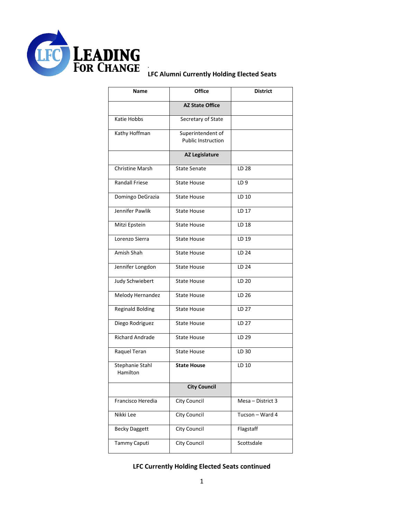

## **LFC Alumni Currently Holding Elected Seats**

*.*

| Name                        | <b>Office</b>                                  | <b>District</b>   |
|-----------------------------|------------------------------------------------|-------------------|
|                             | <b>AZ State Office</b>                         |                   |
| Katie Hobbs                 | Secretary of State                             |                   |
| Kathy Hoffman               | Superintendent of<br><b>Public Instruction</b> |                   |
|                             | <b>AZ Legislature</b>                          |                   |
| <b>Christine Marsh</b>      | <b>State Senate</b>                            | LD 28             |
| <b>Randall Friese</b>       | <b>State House</b>                             | LD <sub>9</sub>   |
| Domingo DeGrazia            | <b>State House</b>                             | LD 10             |
| Jennifer Pawlik             | <b>State House</b>                             | LD 17             |
| Mitzi Epstein               | <b>State House</b>                             | LD 18             |
| Lorenzo Sierra              | <b>State House</b>                             | LD 19             |
| Amish Shah                  | <b>State House</b>                             | LD 24             |
| Jennifer Longdon            | <b>State House</b>                             | LD 24             |
| Judy Schwiebert             | <b>State House</b>                             | LD 20             |
| Melody Hernandez            | <b>State House</b>                             | LD 26             |
| <b>Reginald Bolding</b>     | <b>State House</b>                             | LD 27             |
| Diego Rodriguez             | <b>State House</b>                             | LD 27             |
| <b>Richard Andrade</b>      | <b>State House</b>                             | LD 29             |
| Raquel Teran                | <b>State House</b>                             | LD 30             |
| Stephanie Stahl<br>Hamilton | <b>State House</b>                             | LD 10             |
|                             | <b>City Council</b>                            |                   |
| Francisco Heredia           | City Council                                   | Mesa - District 3 |
| Nikki Lee                   | <b>City Council</b>                            | Tucson - Ward 4   |
| <b>Becky Daggett</b>        | City Council                                   | Flagstaff         |
| Tammy Caputi                | City Council                                   | Scottsdale        |

## **LFC Currently Holding Elected Seats continued**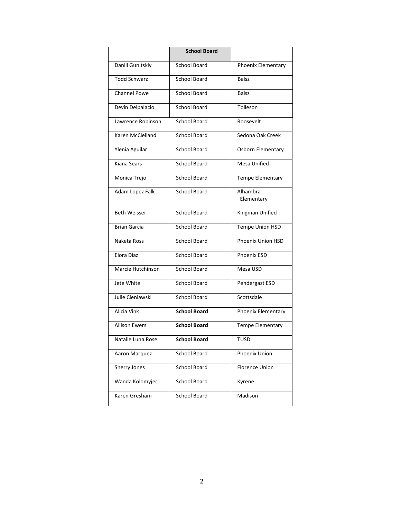|                      | <b>School Board</b> |                          |
|----------------------|---------------------|--------------------------|
| Danill Gunitskly     | School Board        | Phoenix Elementary       |
| <b>Todd Schwarz</b>  | <b>School Board</b> | <b>Balsz</b>             |
| <b>Channel Powe</b>  | <b>School Board</b> | <b>Balsz</b>             |
| Devin Delpalacio     | <b>School Board</b> | Tolleson                 |
| Lawrence Robinson    | School Board        | Roosevelt                |
| Karen McClelland     | School Board        | Sedona Oak Creek         |
| Ylenia Aguilar       | <b>School Board</b> | Osborn Elementary        |
| Kiana Sears          | <b>School Board</b> | <b>Mesa Unified</b>      |
| Monica Trejo         | <b>School Board</b> | Tempe Elementary         |
| Adam Lopez Falk      | <b>School Board</b> | Alhambra<br>Elementary   |
| <b>Beth Weisser</b>  | <b>School Board</b> | Kingman Unified          |
| <b>Brian Garcia</b>  | <b>School Board</b> | Tempe Union HSD          |
| Naketa Ross          | <b>School Board</b> | <b>Phoenix Union HSD</b> |
| Elora Diaz           | School Board        | <b>Phoenix ESD</b>       |
| Marcie Hutchinson    | <b>School Board</b> | Mesa USD                 |
| Jete White           | School Board        | Pendergast ESD           |
| Julie Cieniawski     | <b>School Board</b> | Scottsdale               |
| Alicia Vink          | <b>School Board</b> | Phoenix Elementary       |
| <b>Allison Ewers</b> | <b>School Board</b> | Tempe Elementary         |
| Natalie Luna Rose    | <b>School Board</b> | TUSD                     |
| Aaron Marquez        | School Board        | Phoenix Union            |
| Sherry Jones         | School Board        | <b>Florence Union</b>    |
| Wanda Kolomyjec      | School Board        | Kyrene                   |
| Karen Gresham        | School Board        | Madison                  |